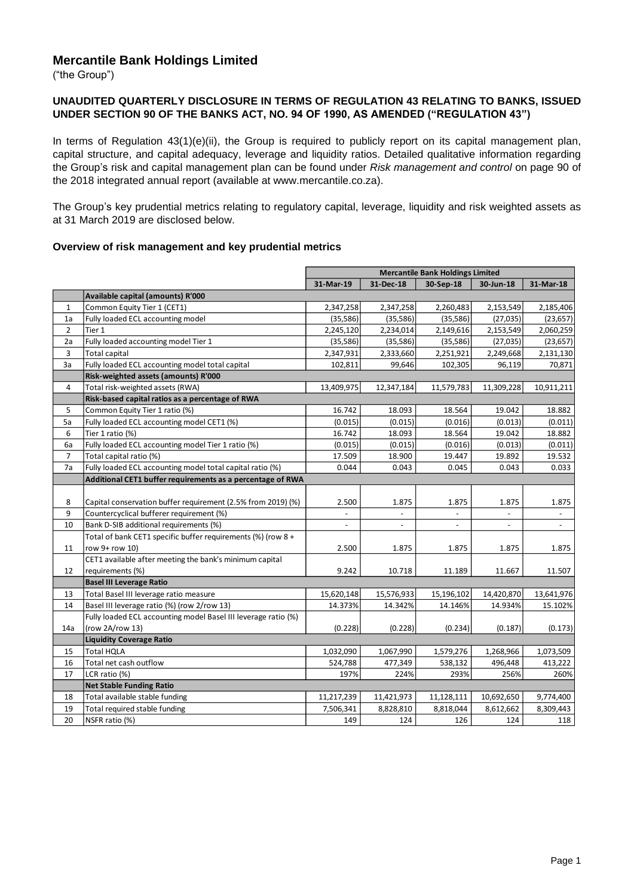# **Mercantile Bank Holdings Limited**

("the Group")

#### **UNAUDITED QUARTERLY DISCLOSURE IN TERMS OF REGULATION 43 RELATING TO BANKS, ISSUED UNDER SECTION 90 OF THE BANKS ACT, NO. 94 OF 1990, AS AMENDED ("REGULATION 43")**

In terms of Regulation 43(1)(e)(ii), the Group is required to publicly report on its capital management plan, capital structure, and capital adequacy, leverage and liquidity ratios. Detailed qualitative information regarding the Group's risk and capital management plan can be found under *Risk management and control* on page 90 of the 2018 integrated annual report (available at www.mercantile.co.za).

The Group's key prudential metrics relating to regulatory capital, leverage, liquidity and risk weighted assets as at 31 March 2019 are disclosed below.

### **Overview of risk management and key prudential metrics**

|                |                                                                | <b>Mercantile Bank Holdings Limited</b> |                          |                          |                          |                |
|----------------|----------------------------------------------------------------|-----------------------------------------|--------------------------|--------------------------|--------------------------|----------------|
|                |                                                                | 31-Mar-19                               | 31-Dec-18                | 30-Sep-18                | 30-Jun-18                | 31-Mar-18      |
|                | Available capital (amounts) R'000                              |                                         |                          |                          |                          |                |
| $\mathbf{1}$   | Common Equity Tier 1 (CET1)                                    | 2,347,258                               | 2,347,258                | 2,260,483                | 2,153,549                | 2,185,406      |
| 1a             | Fully loaded ECL accounting model                              | (35, 586)                               | (35, 586)                | (35, 586)                | (27, 035)                | (23, 657)      |
| $\overline{2}$ | Tier 1                                                         | 2,245,120                               | 2,234,014                | 2,149,616                | 2,153,549                | 2,060,259      |
| 2a             | Fully loaded accounting model Tier 1                           | (35, 586)                               | (35,586)                 | (35, 586)                | (27, 035)                | (23, 657)      |
| 3              | <b>Total capital</b>                                           | 2,347,931                               | 2,333,660                | 2,251,921                | 2,249,668                | 2,131,130      |
| За             | Fully loaded ECL accounting model total capital                | 102,811                                 | 99,646                   | 102,305                  | 96,119                   | 70,871         |
|                | Risk-weighted assets (amounts) R'000                           |                                         |                          |                          |                          |                |
| 4              | Total risk-weighted assets (RWA)                               | 13,409,975                              | 12,347,184               | 11,579,783               | 11,309,228               | 10,911,211     |
|                | Risk-based capital ratios as a percentage of RWA               |                                         |                          |                          |                          |                |
| 5              | Common Equity Tier 1 ratio (%)                                 | 16.742                                  | 18.093                   | 18.564                   | 19.042                   | 18.882         |
| 5a             | Fully loaded ECL accounting model CET1 (%)                     | (0.015)                                 | (0.015)                  | (0.016)                  | (0.013)                  | (0.011)        |
| 6              | Tier 1 ratio (%)                                               | 16.742                                  | 18.093                   | 18.564                   | 19.042                   | 18.882         |
| 6a             | Fully loaded ECL accounting model Tier 1 ratio (%)             | (0.015)                                 | (0.015)                  | (0.016)                  | (0.013)                  | (0.011)        |
| $\overline{7}$ | Total capital ratio (%)                                        | 17.509                                  | 18.900                   | 19.447                   | 19.892                   | 19.532         |
| 7a             | Fully loaded ECL accounting model total capital ratio (%)      | 0.044                                   | 0.043                    | 0.045                    | 0.043                    | 0.033          |
|                | Additional CET1 buffer requirements as a percentage of RWA     |                                         |                          |                          |                          |                |
|                |                                                                |                                         |                          |                          |                          |                |
| 8              | Capital conservation buffer requirement (2.5% from 2019) (%)   | 2.500                                   | 1.875                    | 1.875                    | 1.875                    | 1.875          |
| 9              | Countercyclical bufferer requirement (%)                       | $\blacksquare$                          | $\overline{\phantom{a}}$ | $\overline{\phantom{a}}$ | $\overline{\phantom{a}}$ | $\sim$         |
| 10             | Bank D-SIB additional requirements (%)                         | $\overline{a}$                          | $\overline{\phantom{a}}$ |                          | $\blacksquare$           | $\blacksquare$ |
|                | Total of bank CET1 specific buffer requirements (%) (row 8 +   |                                         |                          |                          |                          |                |
| 11             | row 9+ row 10)                                                 | 2.500                                   | 1.875                    | 1.875                    | 1.875                    | 1.875          |
|                | CET1 available after meeting the bank's minimum capital        |                                         |                          |                          |                          |                |
| 12             | requirements (%)                                               | 9.242                                   | 10.718                   | 11.189                   | 11.667                   | 11.507         |
|                | <b>Basel III Leverage Ratio</b>                                |                                         |                          |                          |                          |                |
| 13             | Total Basel III leverage ratio measure                         | 15,620,148                              | 15,576,933               | 15,196,102               | 14,420,870               | 13,641,976     |
| 14             | Basel III leverage ratio (%) (row 2/row 13)                    | 14.373%                                 | 14.342%                  | 14.146%                  | 14.934%                  | 15.102%        |
|                | Fully loaded ECL accounting model Basel III leverage ratio (%) |                                         |                          |                          |                          |                |
| 14a            | (row 2A/row 13)                                                | (0.228)                                 | (0.228)                  | (0.234)                  | (0.187)                  | (0.173)        |
|                | <b>Liquidity Coverage Ratio</b>                                |                                         |                          |                          |                          |                |
| 15             | <b>Total HQLA</b>                                              | 1,032,090                               | 1,067,990                | 1,579,276                | 1,268,966                | 1,073,509      |
| 16             | Total net cash outflow                                         | 524,788                                 | 477,349                  | 538,132                  | 496,448                  | 413,222        |
| 17             | LCR ratio (%)                                                  | 197%                                    | 224%                     | 293%                     | 256%                     | 260%           |
|                | <b>Net Stable Funding Ratio</b>                                |                                         |                          |                          |                          |                |
| 18             | Total available stable funding                                 | 11,217,239                              | 11,421,973               | 11,128,111               | 10,692,650               | 9,774,400      |
| 19             | Total required stable funding                                  | 7,506,341                               | 8,828,810                | 8,818,044                | 8,612,662                | 8,309,443      |
| 20             | NSFR ratio (%)                                                 | 149                                     | 124                      | 126                      | 124                      | 118            |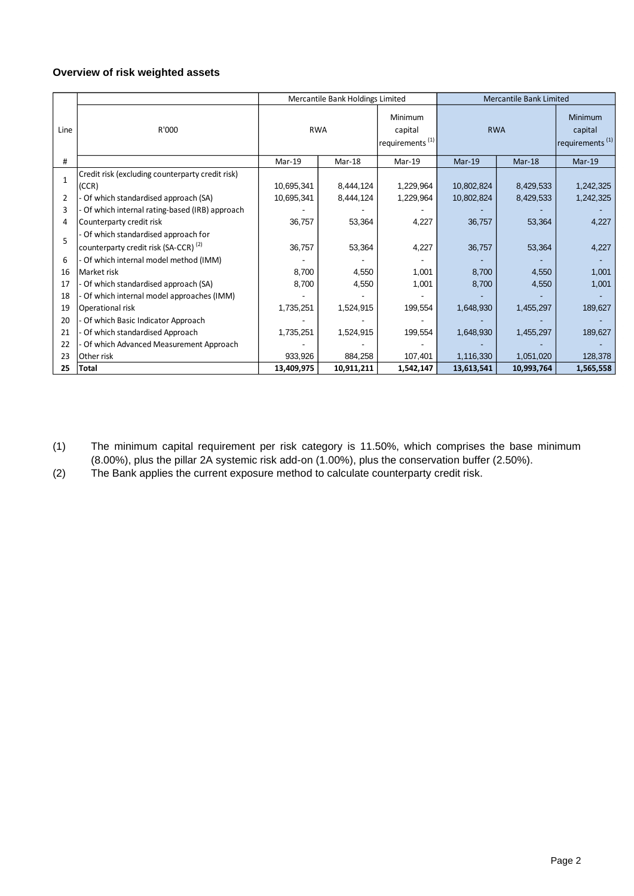# **Overview of risk weighted assets**

|                |                                                                                        | Mercantile Bank Holdings Limited |            | Mercantile Bank Limited                           |            |            |                                                   |
|----------------|----------------------------------------------------------------------------------------|----------------------------------|------------|---------------------------------------------------|------------|------------|---------------------------------------------------|
| Line           | R'000                                                                                  | <b>RWA</b>                       |            | Minimum<br>capital<br>requirements <sup>(1)</sup> | <b>RWA</b> |            | Minimum<br>capital<br>requirements <sup>(1)</sup> |
| #              |                                                                                        | $Mar-19$                         | $Mar-18$   | Mar-19                                            | $Mar-19$   | Mar-18     | $Mar-19$                                          |
| $\mathbf{1}$   | Credit risk (excluding counterparty credit risk)<br>(CCR)                              | 10,695,341                       | 8,444,124  | 1,229,964                                         | 10,802,824 | 8,429,533  | 1,242,325                                         |
| $\overline{2}$ | Of which standardised approach (SA)                                                    | 10,695,341                       | 8,444,124  | 1,229,964                                         | 10,802,824 | 8,429,533  | 1,242,325                                         |
| 3              | Of which internal rating-based (IRB) approach                                          |                                  |            |                                                   |            |            |                                                   |
| 4              | Counterparty credit risk                                                               | 36,757                           | 53,364     | 4,227                                             | 36,757     | 53,364     | 4,227                                             |
| 5              | Of which standardised approach for<br>counterparty credit risk (SA-CCR) <sup>(2)</sup> | 36,757                           | 53,364     | 4,227                                             | 36,757     | 53,364     | 4,227                                             |
| 6              | Of which internal model method (IMM)                                                   |                                  |            |                                                   |            |            |                                                   |
| 16             | Market risk                                                                            | 8,700                            | 4,550      | 1,001                                             | 8,700      | 4,550      | 1,001                                             |
| 17             | Of which standardised approach (SA)                                                    | 8,700                            | 4,550      | 1,001                                             | 8,700      | 4,550      | 1,001                                             |
| 18             | Of which internal model approaches (IMM)                                               |                                  |            |                                                   |            |            |                                                   |
| 19             | Operational risk                                                                       | 1,735,251                        | 1,524,915  | 199,554                                           | 1,648,930  | 1,455,297  | 189,627                                           |
| 20             | Of which Basic Indicator Approach                                                      |                                  |            |                                                   |            |            |                                                   |
| 21             | Of which standardised Approach                                                         | 1,735,251                        | 1,524,915  | 199,554                                           | 1,648,930  | 1,455,297  | 189,627                                           |
| 22             | Of which Advanced Measurement Approach                                                 |                                  |            |                                                   |            |            |                                                   |
| 23             | Other risk                                                                             | 933,926                          | 884,258    | 107,401                                           | 1,116,330  | 1,051,020  | 128,378                                           |
| 25             | <b>Total</b>                                                                           | 13,409,975                       | 10,911,211 | 1,542,147                                         | 13,613,541 | 10,993,764 | 1,565,558                                         |

- (1) The minimum capital requirement per risk category is 11.50%, which comprises the base minimum (8.00%), plus the pillar 2A systemic risk add-on (1.00%), plus the conservation buffer (2.50%).
- (2) The Bank applies the current exposure method to calculate counterparty credit risk.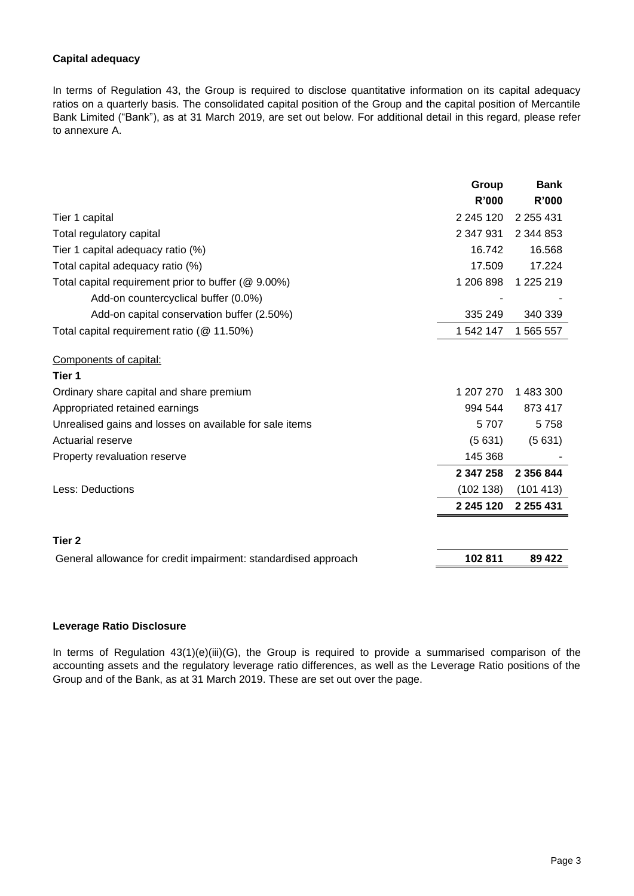# **Capital adequacy**

In terms of Regulation 43, the Group is required to disclose quantitative information on its capital adequacy ratios on a quarterly basis. The consolidated capital position of the Group and the capital position of Mercantile Bank Limited ("Bank"), as at 31 March 2019, are set out below. For additional detail in this regard, please refer to annexure A.

|                                                                | Group              | <b>Bank</b>                 |
|----------------------------------------------------------------|--------------------|-----------------------------|
| Tier 1 capital                                                 | R'000<br>2 245 120 | <b>R'000</b><br>2 2 5 4 3 1 |
| Total regulatory capital                                       | 2 347 931          | 2 344 853                   |
| Tier 1 capital adequacy ratio (%)                              | 16.742             | 16.568                      |
| Total capital adequacy ratio (%)                               | 17.509             | 17.224                      |
| Total capital requirement prior to buffer (@ 9.00%)            | 1 206 898          | 1 225 219                   |
| Add-on countercyclical buffer (0.0%)                           |                    |                             |
| Add-on capital conservation buffer (2.50%)                     | 335 249            | 340 339                     |
| Total capital requirement ratio (@ 11.50%)                     | 1 542 147          | 1 565 557                   |
| Components of capital:                                         |                    |                             |
| Tier 1                                                         |                    |                             |
| Ordinary share capital and share premium                       | 1 207 270          | 1 483 300                   |
| Appropriated retained earnings                                 | 994 544            | 873 417                     |
| Unrealised gains and losses on available for sale items        | 5707               | 5758                        |
| Actuarial reserve                                              | (5631)             | (5631)                      |
| Property revaluation reserve                                   | 145 368            |                             |
|                                                                | 2 347 258          | 2 356 844                   |
| Less: Deductions                                               | (102 138)          | (101 413)                   |
|                                                                | 2 245 120          | 2 2 5 4 3 1                 |
| Tier 2                                                         |                    |                             |
| General allowance for credit impairment: standardised approach | 102 811            | 89 4 22                     |

### **Leverage Ratio Disclosure**

In terms of Regulation 43(1)(e)(iii)(G), the Group is required to provide a summarised comparison of the accounting assets and the regulatory leverage ratio differences, as well as the Leverage Ratio positions of the Group and of the Bank, as at 31 March 2019. These are set out over the page.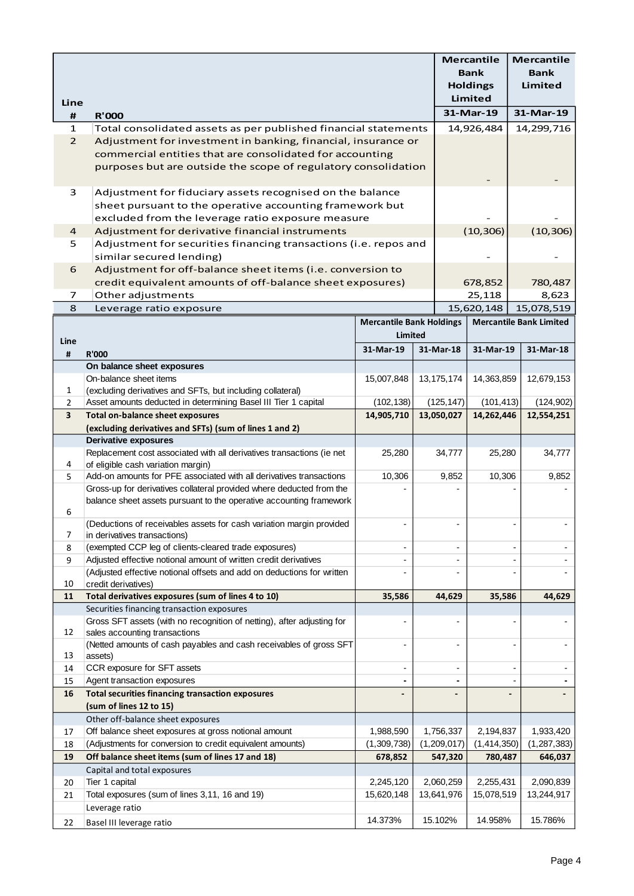|                         |                                                                                                           |                                                   |                          | <b>Mercantile</b><br><b>Bank</b><br><b>Holdings</b> | <b>Mercantile</b><br><b>Bank</b><br>Limited          |
|-------------------------|-----------------------------------------------------------------------------------------------------------|---------------------------------------------------|--------------------------|-----------------------------------------------------|------------------------------------------------------|
| Line                    |                                                                                                           |                                                   |                          | <b>Limited</b><br>31-Mar-19                         | 31-Mar-19                                            |
| Ħ<br>1                  | <b>R'000</b><br>Total consolidated assets as per published financial statements                           |                                                   |                          | 14,926,484                                          | 14,299,716                                           |
| $\overline{2}$          | Adjustment for investment in banking, financial, insurance or                                             |                                                   |                          |                                                     |                                                      |
|                         | commercial entities that are consolidated for accounting                                                  |                                                   |                          |                                                     |                                                      |
|                         | purposes but are outside the scope of regulatory consolidation                                            |                                                   |                          |                                                     |                                                      |
|                         |                                                                                                           |                                                   |                          |                                                     |                                                      |
| 3                       | Adjustment for fiduciary assets recognised on the balance                                                 |                                                   |                          |                                                     |                                                      |
|                         | sheet pursuant to the operative accounting framework but                                                  |                                                   |                          |                                                     |                                                      |
|                         | excluded from the leverage ratio exposure measure                                                         |                                                   |                          |                                                     |                                                      |
| 4                       | Adjustment for derivative financial instruments                                                           |                                                   |                          | (10, 306)                                           | (10, 306)                                            |
| 5                       | Adjustment for securities financing transactions (i.e. repos and                                          |                                                   |                          |                                                     |                                                      |
|                         | similar secured lending)                                                                                  |                                                   |                          |                                                     |                                                      |
| 6                       | Adjustment for off-balance sheet items (i.e. conversion to                                                |                                                   |                          |                                                     |                                                      |
|                         | credit equivalent amounts of off-balance sheet exposures)                                                 |                                                   |                          | 678,852                                             | 780,487                                              |
| 7                       | Other adjustments                                                                                         |                                                   |                          | 25,118                                              | 8,623                                                |
| 8                       | Leverage ratio exposure                                                                                   |                                                   |                          | 15,620,148                                          | 15,078,519                                           |
|                         |                                                                                                           | <b>Mercantile Bank Holdings</b><br><b>Limited</b> |                          |                                                     | <b>Mercantile Bank Limited</b>                       |
| Line                    |                                                                                                           | 31-Mar-19                                         |                          | 31-Mar-19                                           | 31-Mar-18                                            |
| $\pmb{\sharp}$          | <b>R'000</b>                                                                                              |                                                   | 31-Mar-18                |                                                     |                                                      |
|                         | On balance sheet exposures                                                                                |                                                   |                          |                                                     |                                                      |
| 1                       | On-balance sheet items<br>(excluding derivatives and SFTs, but including collateral)                      | 15,007,848                                        | 13, 175, 174             | 14,363,859                                          | 12,679,153                                           |
| $\overline{2}$          | Asset amounts deducted in determining Basel III Tier 1 capital                                            | (102, 138)                                        | (125, 147)               | (101, 413)                                          | (124, 902)                                           |
| $\overline{\mathbf{3}}$ | <b>Total on-balance sheet exposures</b>                                                                   | 14,905,710                                        | 13,050,027               | 14,262,446                                          | 12,554,251                                           |
|                         | (excluding derivatives and SFTs) (sum of lines 1 and 2)                                                   |                                                   |                          |                                                     |                                                      |
|                         | <b>Derivative exposures</b>                                                                               |                                                   |                          |                                                     |                                                      |
|                         | Replacement cost associated with all derivatives transactions (ie net                                     | 25,280                                            | 34,777                   | 25,280                                              | 34,777                                               |
| 4                       | of eligible cash variation margin)<br>Add-on amounts for PFE associated with all derivatives transactions | 10,306                                            |                          | 10,306                                              | 9,852                                                |
| 5                       | Gross-up for derivatives collateral provided where deducted from the                                      |                                                   | 9,852                    |                                                     |                                                      |
|                         | balance sheet assets pursuant to the operative accounting framework                                       |                                                   |                          |                                                     |                                                      |
| 6                       |                                                                                                           |                                                   |                          |                                                     |                                                      |
|                         | (Deductions of receivables assets for cash variation margin provided                                      |                                                   |                          |                                                     |                                                      |
| 7                       | in derivatives transactions)<br>(exempted CCP leg of clients-cleared trade exposures)                     | $\overline{\phantom{a}}$                          | $\blacksquare$           |                                                     | $\blacksquare$<br>$\overline{\phantom{a}}$           |
| 8<br>9                  | Adjusted effective notional amount of written credit derivatives                                          | $\overline{\phantom{a}}$                          |                          |                                                     |                                                      |
|                         | (Adjusted effective notional offsets and add on deductions for written                                    | $\overline{a}$                                    |                          |                                                     |                                                      |
| 10                      | credit derivatives)                                                                                       |                                                   |                          |                                                     |                                                      |
| 11                      | Total derivatives exposures (sum of lines 4 to 10)                                                        | 35,586                                            | 44,629                   | 35,586                                              | 44,629                                               |
|                         | Securities financing transaction exposures                                                                |                                                   |                          |                                                     |                                                      |
|                         | Gross SFT assets (with no recognition of netting), after adjusting for                                    |                                                   |                          |                                                     |                                                      |
| 12                      | sales accounting transactions<br>(Netted amounts of cash payables and cash receivables of gross SFT       |                                                   |                          |                                                     |                                                      |
| 13                      | assets)                                                                                                   |                                                   |                          |                                                     |                                                      |
| 14                      | CCR exposure for SFT assets                                                                               | $\overline{\phantom{a}}$                          | $\overline{\phantom{a}}$ |                                                     | $\overline{\phantom{a}}$<br>$\overline{\phantom{a}}$ |
| 15                      | Agent transaction exposures                                                                               | $\blacksquare$                                    |                          |                                                     | $\blacksquare$                                       |
| 16                      | <b>Total securities financing transaction exposures</b>                                                   |                                                   |                          |                                                     |                                                      |
|                         | (sum of lines 12 to 15)                                                                                   |                                                   |                          |                                                     |                                                      |
| 17                      | Other off-balance sheet exposures<br>Off balance sheet exposures at gross notional amount                 | 1,988,590                                         | 1,756,337                | 2,194,837                                           | 1,933,420                                            |
| 18                      | (Adjustments for conversion to credit equivalent amounts)                                                 | (1,309,738)                                       | (1,209,017)              | (1,414,350)                                         | (1, 287, 383)                                        |
| 19                      | Off balance sheet items (sum of lines 17 and 18)                                                          | 678,852                                           | 547,320                  | 780,487                                             | 646,037                                              |
|                         | Capital and total exposures                                                                               |                                                   |                          |                                                     |                                                      |
| 20                      | Tier 1 capital                                                                                            | 2,245,120                                         | 2,060,259                | 2,255,431                                           | 2,090,839                                            |
| 21                      | Total exposures (sum of lines 3,11, 16 and 19)                                                            | 15,620,148                                        | 13,641,976               | 15,078,519                                          | 13,244,917                                           |
|                         | Leverage ratio                                                                                            |                                                   |                          |                                                     |                                                      |
| 22                      | Basel III leverage ratio                                                                                  | 14.373%                                           | 15.102%                  | 14.958%                                             | 15.786%                                              |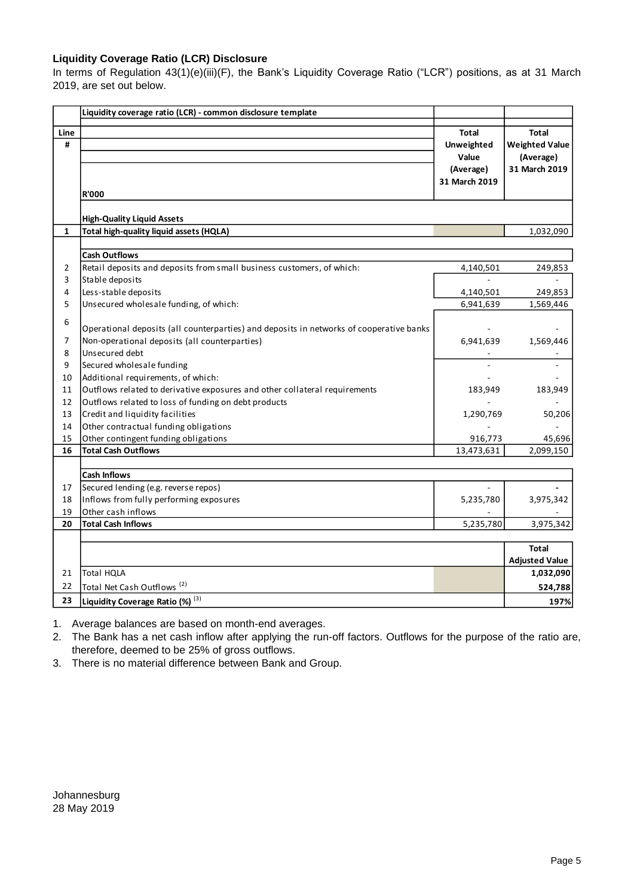### **Liquidity Coverage Ratio (LCR) Disclosure**

In terms of Regulation 43(1)(e)(iii)(F), the Bank's Liquidity Coverage Ratio ("LCR") positions, as at 31 March 2019, are set out below.

|      | Liquidity coverage ratio (LCR) - common disclosure template                             |                   |                       |
|------|-----------------------------------------------------------------------------------------|-------------------|-----------------------|
| Line |                                                                                         | <b>Total</b>      | <b>Total</b>          |
| #    |                                                                                         | <b>Unweighted</b> | <b>Weighted Value</b> |
|      |                                                                                         | Value             | (Average)             |
|      |                                                                                         | (Average)         | 31 March 2019         |
|      |                                                                                         | 31 March 2019     |                       |
|      | <b>R'000</b>                                                                            |                   |                       |
|      | <b>High-Quality Liquid Assets</b>                                                       |                   |                       |
| 1    | Total high-quality liquid assets (HQLA)                                                 |                   | 1,032,090             |
|      |                                                                                         |                   |                       |
|      | <b>Cash Outflows</b>                                                                    |                   |                       |
| 2    | Retail deposits and deposits from small business customers, of which:                   | 4,140,501         | 249,853               |
| 3    | Stable deposits                                                                         |                   |                       |
| 4    | Less-stable deposits                                                                    | 4,140,501         | 249,853               |
| 5    | Unsecured wholesale funding, of which:                                                  | 6,941,639         | 1,569,446             |
|      |                                                                                         |                   |                       |
| 6    | Operational deposits (all counterparties) and deposits in networks of cooperative banks |                   |                       |
| 7    | Non-operational deposits (all counterparties)                                           | 6,941,639         | 1,569,446             |
| 8    | Unsecured debt                                                                          |                   |                       |
| 9    | Secured wholesale funding                                                               |                   |                       |
| 10   | Additional requirements, of which:                                                      |                   |                       |
| 11   | Outflows related to derivative exposures and other collateral requirements              | 183,949           | 183,949               |
| 12   | Outflows related to loss of funding on debt products                                    |                   |                       |
| 13   | Credit and liquidity facilities                                                         | 1,290,769         | 50,206                |
| 14   | Other contractual funding obligations                                                   |                   |                       |
| 15   | Other contingent funding obligations                                                    | 916,773           | 45,696                |
| 16   | <b>Total Cash Outflows</b>                                                              | 13,473,631        | 2,099,150             |
|      |                                                                                         |                   |                       |
|      | <b>Cash Inflows</b>                                                                     |                   |                       |
| 17   | Secured lending (e.g. reverse repos)                                                    |                   |                       |
| 18   | Inflows from fully performing exposures                                                 | 5,235,780         | 3,975,342             |
| 19   | Other cash inflows                                                                      |                   |                       |
| 20   | <b>Total Cash Inflows</b>                                                               | 5,235,780         | 3,975,342             |
|      |                                                                                         |                   |                       |
|      |                                                                                         |                   | <b>Total</b>          |
|      |                                                                                         |                   | <b>Adjusted Value</b> |
| 21   | <b>Total HQLA</b>                                                                       |                   | 1,032,090             |
| 22   | Total Net Cash Outflows <sup>(2)</sup>                                                  |                   | 524,788               |
| 23   | Liquidity Coverage Ratio (%) (3)                                                        |                   | 197%                  |

1. Average balances are based on month-end averages.

2. The Bank has a net cash inflow after applying the run-off factors. Outflows for the purpose of the ratio are, therefore, deemed to be 25% of gross outflows.

3. There is no material difference between Bank and Group.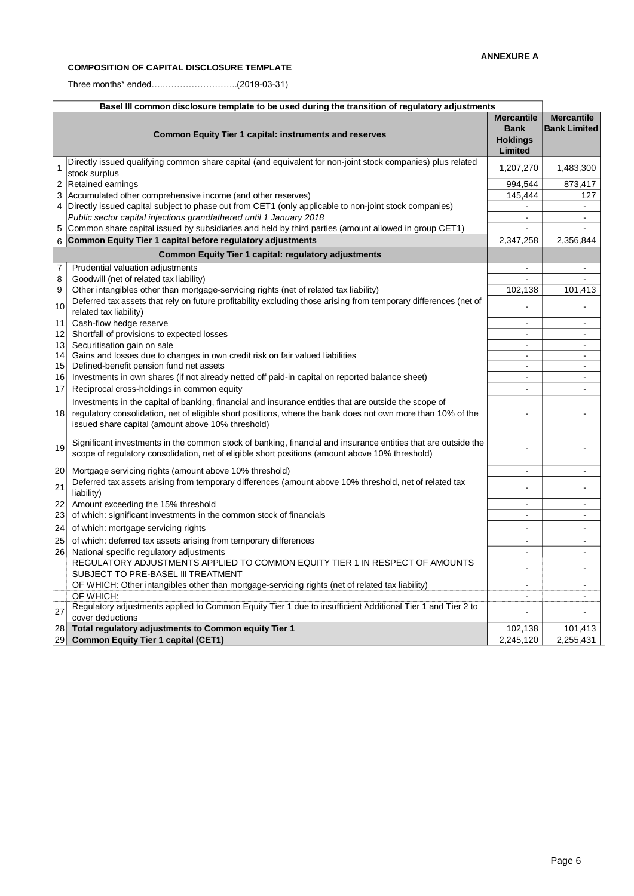# **COMPOSITION OF CAPITAL DISCLOSURE TEMPLATE**

Three months\* ended….……………………..(2019-03-31)

| Basel III common disclosure template to be used during the transition of regulatory adjustments |                                                                                                                                                                                                                                                                           |                                                                       |                                          |  |
|-------------------------------------------------------------------------------------------------|---------------------------------------------------------------------------------------------------------------------------------------------------------------------------------------------------------------------------------------------------------------------------|-----------------------------------------------------------------------|------------------------------------------|--|
|                                                                                                 | <b>Common Equity Tier 1 capital: instruments and reserves</b>                                                                                                                                                                                                             | <b>Mercantile</b><br><b>Bank</b><br><b>Holdings</b><br><b>Limited</b> | <b>Mercantile</b><br><b>Bank Limited</b> |  |
|                                                                                                 | Directly issued qualifying common share capital (and equivalent for non-joint stock companies) plus related<br>stock surplus                                                                                                                                              | 1,207,270                                                             | 1,483,300                                |  |
|                                                                                                 | 2 Retained earnings                                                                                                                                                                                                                                                       | 994,544                                                               | 873,417                                  |  |
| 3                                                                                               | Accumulated other comprehensive income (and other reserves)                                                                                                                                                                                                               | 145,444                                                               | 127                                      |  |
|                                                                                                 | 4   Directly issued capital subject to phase out from CET1 (only applicable to non-joint stock companies)                                                                                                                                                                 | $\overline{a}$                                                        |                                          |  |
|                                                                                                 | Public sector capital injections grandfathered until 1 January 2018                                                                                                                                                                                                       | $\overline{a}$                                                        | $\blacksquare$                           |  |
| 5                                                                                               | Common share capital issued by subsidiaries and held by third parties (amount allowed in group CET1)                                                                                                                                                                      |                                                                       |                                          |  |
| 6                                                                                               | Common Equity Tier 1 capital before regulatory adjustments                                                                                                                                                                                                                | 2,347,258                                                             | 2,356,844                                |  |
|                                                                                                 | <b>Common Equity Tier 1 capital: regulatory adjustments</b>                                                                                                                                                                                                               |                                                                       |                                          |  |
| 7                                                                                               | Prudential valuation adjustments                                                                                                                                                                                                                                          | ÷,                                                                    |                                          |  |
| 8                                                                                               | Goodwill (net of related tax liability)                                                                                                                                                                                                                                   |                                                                       |                                          |  |
| 9                                                                                               | Other intangibles other than mortgage-servicing rights (net of related tax liability)                                                                                                                                                                                     | 102,138                                                               | 101,413                                  |  |
| 10                                                                                              | Deferred tax assets that rely on future profitability excluding those arising from temporary differences (net of                                                                                                                                                          |                                                                       |                                          |  |
|                                                                                                 | related tax liability)                                                                                                                                                                                                                                                    |                                                                       |                                          |  |
| 11                                                                                              | Cash-flow hedge reserve                                                                                                                                                                                                                                                   | $\overline{a}$                                                        | $\blacksquare$                           |  |
| 12                                                                                              | Shortfall of provisions to expected losses                                                                                                                                                                                                                                | ÷                                                                     | $\overline{a}$                           |  |
| 13                                                                                              | Securitisation gain on sale                                                                                                                                                                                                                                               | ÷.<br>$\overline{a}$                                                  | $\overline{a}$<br>$\overline{a}$         |  |
| 14<br>15                                                                                        | Gains and losses due to changes in own credit risk on fair valued liabilities<br>Defined-benefit pension fund net assets                                                                                                                                                  | $\overline{a}$                                                        |                                          |  |
| 16                                                                                              | Investments in own shares (if not already netted off paid-in capital on reported balance sheet)                                                                                                                                                                           | $\blacksquare$                                                        | $\blacksquare$                           |  |
| 17                                                                                              | Reciprocal cross-holdings in common equity                                                                                                                                                                                                                                |                                                                       |                                          |  |
| 18                                                                                              | Investments in the capital of banking, financial and insurance entities that are outside the scope of<br>regulatory consolidation, net of eligible short positions, where the bank does not own more than 10% of the<br>issued share capital (amount above 10% threshold) |                                                                       |                                          |  |
| 19                                                                                              | Significant investments in the common stock of banking, financial and insurance entities that are outside the<br>scope of regulatory consolidation, net of eligible short positions (amount above 10% threshold)                                                          |                                                                       |                                          |  |
| 20                                                                                              | Mortgage servicing rights (amount above 10% threshold)                                                                                                                                                                                                                    | $\overline{a}$                                                        | $\blacksquare$                           |  |
| 21                                                                                              | Deferred tax assets arising from temporary differences (amount above 10% threshold, net of related tax<br>liability)                                                                                                                                                      |                                                                       |                                          |  |
| 22                                                                                              | Amount exceeding the 15% threshold                                                                                                                                                                                                                                        | $\overline{a}$                                                        | $\sim$                                   |  |
| 23                                                                                              | of which: significant investments in the common stock of financials                                                                                                                                                                                                       | $\blacksquare$                                                        | $\blacksquare$                           |  |
| 24                                                                                              | of which: mortgage servicing rights                                                                                                                                                                                                                                       |                                                                       |                                          |  |
| 25                                                                                              | of which: deferred tax assets arising from temporary differences                                                                                                                                                                                                          | $\overline{a}$                                                        | $\sim$                                   |  |
| 26                                                                                              | National specific regulatory adjustments                                                                                                                                                                                                                                  |                                                                       |                                          |  |
|                                                                                                 | REGULATORY ADJUSTMENTS APPLIED TO COMMON EQUITY TIER 1 IN RESPECT OF AMOUNTS<br>SUBJECT TO PRE-BASEL III TREATMENT                                                                                                                                                        | $\blacksquare$                                                        | $\blacksquare$                           |  |
|                                                                                                 | OF WHICH: Other intangibles other than mortgage-servicing rights (net of related tax liability)                                                                                                                                                                           | $\overline{a}$                                                        |                                          |  |
|                                                                                                 | OF WHICH:                                                                                                                                                                                                                                                                 | $\overline{a}$                                                        |                                          |  |
| 27                                                                                              | Regulatory adjustments applied to Common Equity Tier 1 due to insufficient Additional Tier 1 and Tier 2 to<br>cover deductions                                                                                                                                            |                                                                       |                                          |  |
| 28                                                                                              | Total regulatory adjustments to Common equity Tier 1                                                                                                                                                                                                                      | 102,138                                                               | 101,413                                  |  |
| 29                                                                                              | <b>Common Equity Tier 1 capital (CET1)</b>                                                                                                                                                                                                                                | 2,245,120                                                             | 2,255,431                                |  |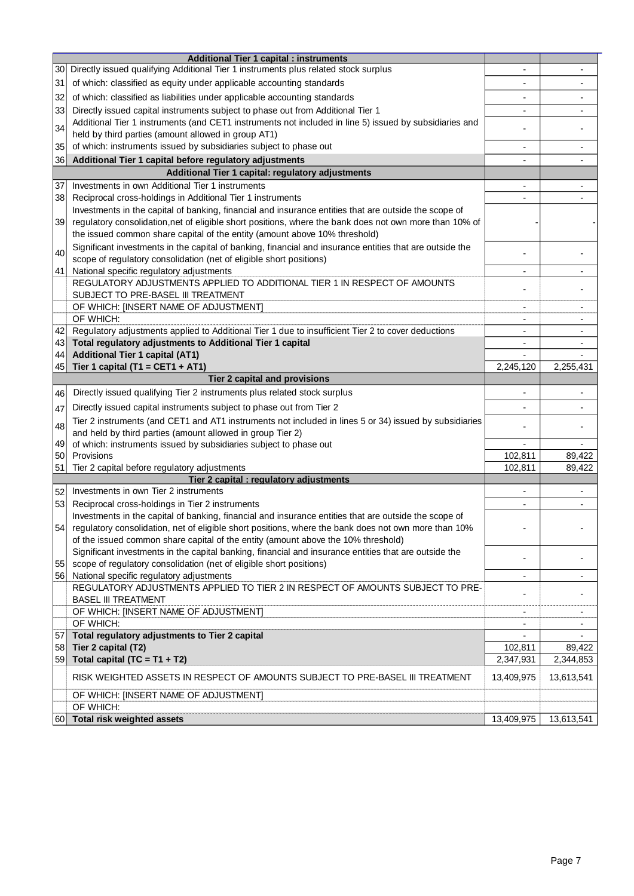|          | <b>Additional Tier 1 capital : instruments</b>                                                           |                          |                     |
|----------|----------------------------------------------------------------------------------------------------------|--------------------------|---------------------|
| 30       | Directly issued qualifying Additional Tier 1 instruments plus related stock surplus                      | $\overline{\phantom{a}}$ |                     |
| 31       | of which: classified as equity under applicable accounting standards                                     |                          |                     |
| 32       | of which: classified as liabilities under applicable accounting standards                                |                          |                     |
| 33       | Directly issued capital instruments subject to phase out from Additional Tier 1                          | $\overline{\phantom{a}}$ |                     |
|          | Additional Tier 1 instruments (and CET1 instruments not included in line 5) issued by subsidiaries and   |                          |                     |
| 34       | held by third parties (amount allowed in group AT1)                                                      |                          |                     |
| 35       | of which: instruments issued by subsidiaries subject to phase out                                        | $\overline{\phantom{0}}$ |                     |
| 36       | Additional Tier 1 capital before regulatory adjustments                                                  |                          |                     |
|          | Additional Tier 1 capital: regulatory adjustments                                                        |                          |                     |
| 37       | Investments in own Additional Tier 1 instruments                                                         | $\overline{\phantom{a}}$ |                     |
| 38       | Reciprocal cross-holdings in Additional Tier 1 instruments                                               | ٠                        |                     |
|          | Investments in the capital of banking, financial and insurance entities that are outside the scope of    |                          |                     |
| 39       | regulatory consolidation, net of eligible short positions, where the bank does not own more than 10% of  |                          |                     |
|          | the issued common share capital of the entity (amount above 10% threshold)                               |                          |                     |
|          | Significant investments in the capital of banking, financial and insurance entities that are outside the |                          |                     |
| 40       | scope of regulatory consolidation (net of eligible short positions)                                      |                          |                     |
| 41       | National specific regulatory adjustments                                                                 | $\blacksquare$           | ٠                   |
|          | REGULATORY ADJUSTMENTS APPLIED TO ADDITIONAL TIER 1 IN RESPECT OF AMOUNTS                                |                          |                     |
|          | SUBJECT TO PRE-BASEL III TREATMENT                                                                       |                          |                     |
|          | OF WHICH: [INSERT NAME OF ADJUSTMENT]                                                                    | $\overline{\phantom{a}}$ | ٠                   |
|          | OF WHICH:                                                                                                | $\overline{\phantom{a}}$ | ٠                   |
| 42       | Regulatory adjustments applied to Additional Tier 1 due to insufficient Tier 2 to cover deductions       | ۰                        | ٠                   |
| 43       | Total regulatory adjustments to Additional Tier 1 capital                                                | -                        |                     |
| 44       | <b>Additional Tier 1 capital (AT1)</b>                                                                   |                          |                     |
| 45       | Tier 1 capital (T1 = CET1 + AT1)                                                                         | 2,245,120                | 2,255,431           |
|          | Tier 2 capital and provisions                                                                            |                          |                     |
| 46       | Directly issued qualifying Tier 2 instruments plus related stock surplus                                 |                          |                     |
| 47       | Directly issued capital instruments subject to phase out from Tier 2                                     | -                        |                     |
| 48       | Tier 2 instruments (and CET1 and AT1 instruments not included in lines 5 or 34) issued by subsidiaries   |                          |                     |
|          | and held by third parties (amount allowed in group Tier 2)                                               |                          |                     |
| 49       | of which: instruments issued by subsidiaries subject to phase out                                        | $\blacksquare$           |                     |
| 50       | Provisions                                                                                               | 102,811                  | 89,422              |
| 51       | Tier 2 capital before regulatory adjustments<br>Tier 2 capital : regulatory adjustments                  | 102,811                  | 89,422              |
| 52       | Investments in own Tier 2 instruments                                                                    |                          |                     |
| 53       | Reciprocal cross-holdings in Tier 2 instruments                                                          |                          | $\blacksquare$      |
|          | Investments in the capital of banking, financial and insurance entities that are outside the scope of    |                          |                     |
| 54       | regulatory consolidation, net of eligible short positions, where the bank does not own more than 10%     |                          |                     |
|          | of the issued common share capital of the entity (amount above the 10% threshold)                        |                          |                     |
|          | Significant investments in the capital banking, financial and insurance entities that are outside the    |                          |                     |
| 55       | scope of regulatory consolidation (net of eligible short positions)                                      |                          |                     |
| 56       | National specific regulatory adjustments                                                                 | $\overline{\phantom{a}}$ |                     |
|          | REGULATORY ADJUSTMENTS APPLIED TO TIER 2 IN RESPECT OF AMOUNTS SUBJECT TO PRE-                           |                          |                     |
|          | <b>BASEL III TREATMENT</b>                                                                               |                          |                     |
|          | OF WHICH: [INSERT NAME OF ADJUSTMENT]                                                                    | $\overline{\phantom{a}}$ | ٠                   |
|          | OF WHICH:                                                                                                |                          |                     |
| 57       | Total regulatory adjustments to Tier 2 capital                                                           |                          |                     |
| 58<br>59 | Tier 2 capital (T2)<br>Total capital $(TC = T1 + T2)$                                                    | 102,811<br>2,347,931     | 89,422<br>2,344,853 |
|          |                                                                                                          |                          |                     |
|          | RISK WEIGHTED ASSETS IN RESPECT OF AMOUNTS SUBJECT TO PRE-BASEL III TREATMENT                            | 13,409,975               | 13,613,541          |
|          | OF WHICH: [INSERT NAME OF ADJUSTMENT]                                                                    |                          |                     |
|          | OF WHICH:                                                                                                |                          |                     |
| 601      | Total risk weighted assets                                                                               | 13,409,975               | 13,613,541          |